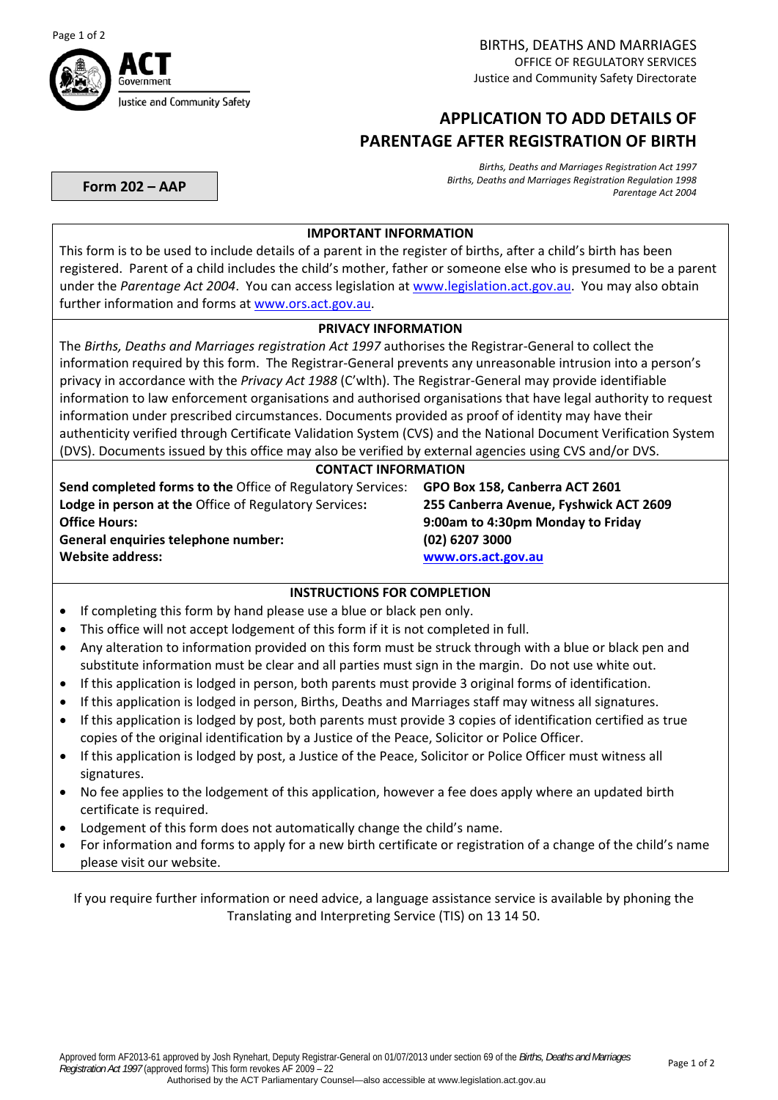



# **APPLICATION TO ADD DETAILS OF PARENTAGE AFTER REGISTRATION OF BIRTH**

**Form 202 – AAP**

*Births, Deaths and Marriages Registration Act 1997 Births, Deaths and Marriages Registration Regulation 1998 Parentage Act 2004*

### **IMPORTANT INFORMATION**

This form is to be used to include details of a parent in the register of births, after a child's birth has been registered. Parent of a child includes the child's mother, father or someone else who is presumed to be a parent under the *Parentage Act 2004*. You can access legislation at [www.legislation.act.gov.au](http://www.legislation.act.gov.au/). You may also obtain further information and forms at [www.ors.act.gov.au.](http://www.ors.act.gov.au/)

## **PRIVACY INFORMATION**

The *Births, Deaths and Marriages registration Act 1997* authorises the Registrar‐General to collect the information required by this form. The Registrar‐General prevents any unreasonable intrusion into a person's privacy in accordance with the *Privacy Act 1988* (C'wlth). The Registrar‐General may provide identifiable information to law enforcement organisations and authorised organisations that have legal authority to request information under prescribed circumstances. Documents provided as proof of identity may have their authenticity verified through Certificate Validation System (CVS) and the National Document Verification System (DVS). Documents issued by this office may also be verified by external agencies using CVS and/or DVS.

### **CONTACT INFORMATION**

**Send completed forms to the** Office of Regulatory Services: **GPO Box 158, Canberra ACT 2601 Lodge in person at the** Office of Regulatory Services**: 255 Canberra Avenue, Fyshwick ACT 2609 Office Hours: 9:00am to 4:30pm Monday to Friday General enquiries telephone number: (02) 6207 3000 Website address: [www.ors.act.gov.au](http://www.ors.act.gov.au/)** 

## **INSTRUCTIONS FOR COMPLETION**

- If completing this form by hand please use a blue or black pen only.
- This office will not accept lodgement of this form if it is not completed in full.
- Any alteration to information provided on this form must be struck through with a blue or black pen and substitute information must be clear and all parties must sign in the margin. Do not use white out.
- If this application is lodged in person, both parents must provide 3 original forms of identification.
- If this application is lodged in person, Births, Deaths and Marriages staff may witness all signatures.
- If this application is lodged by post, both parents must provide 3 copies of identification certified as true copies of the original identification by a Justice of the Peace, Solicitor or Police Officer.
- If this application is lodged by post, a Justice of the Peace, Solicitor or Police Officer must witness all signatures.
- No fee applies to the lodgement of this application, however a fee does apply where an updated birth certificate is required.
- Lodgement of this form does not automatically change the child's name.
- For information and forms to apply for a new birth certificate or registration of a change of the child's name please visit our website.

If you require further information or need advice, a language assistance service is available by phoning the Translating and Interpreting Service (TIS) on 13 14 50.